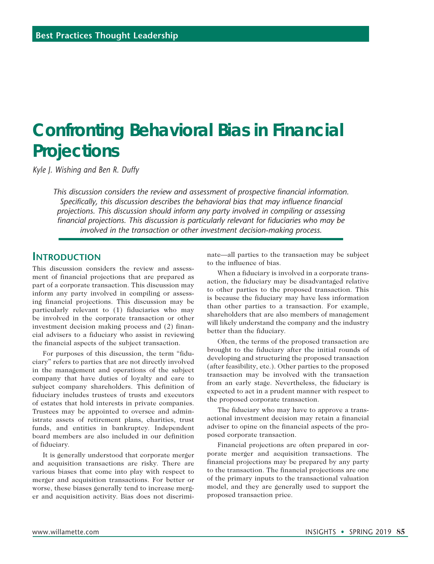# **Confronting Behavioral Bias in Financial Projections**

*Kyle J. Wishing and Ben R. Duffy*

*This discussion considers the review and assessment of prospective financial information. Specifically, this discussion describes the behavioral bias that may influence financial projections. This discussion should inform any party involved in compiling or assessing financial projections. This discussion is particularly relevant for fiduciaries who may be involved in the transaction or other investment decision-making process.*

## **Introduction**

This discussion considers the review and assessment of financial projections that are prepared as part of a corporate transaction. This discussion may inform any party involved in compiling or assessing financial projections. This discussion may be particularly relevant to (1) fiduciaries who may be involved in the corporate transaction or other investment decision making process and (2) financial advisers to a fiduciary who assist in reviewing the financial aspects of the subject transaction.

For purposes of this discussion, the term "fiduciary" refers to parties that are not directly involved in the management and operations of the subject company that have duties of loyalty and care to subject company shareholders. This definition of fiduciary includes trustees of trusts and executors of estates that hold interests in private companies. Trustees may be appointed to oversee and administrate assets of retirement plans, charities, trust funds, and entities in bankruptcy. Independent board members are also included in our definition of fiduciary.

It is generally understood that corporate merger and acquisition transactions are risky. There are various biases that come into play with respect to merger and acquisition transactions. For better or worse, these biases generally tend to increase merger and acquisition activity. Bias does not discriminate—all parties to the transaction may be subject to the influence of bias.

When a fiduciary is involved in a corporate transaction, the fiduciary may be disadvantaged relative to other parties to the proposed transaction. This is because the fiduciary may have less information than other parties to a transaction. For example, shareholders that are also members of management will likely understand the company and the industry better than the fiduciary.

Often, the terms of the proposed transaction are brought to the fiduciary after the initial rounds of developing and structuring the proposed transaction (after feasibility, etc.). Other parties to the proposed transaction may be involved with the transaction from an early stage. Nevertheless, the fiduciary is expected to act in a prudent manner with respect to the proposed corporate transaction.

The fiduciary who may have to approve a transactional investment decision may retain a financial adviser to opine on the financial aspects of the proposed corporate transaction.

Financial projections are often prepared in corporate merger and acquisition transactions. The financial projections may be prepared by any party to the transaction. The financial projections are one of the primary inputs to the transactional valuation model, and they are generally used to support the proposed transaction price.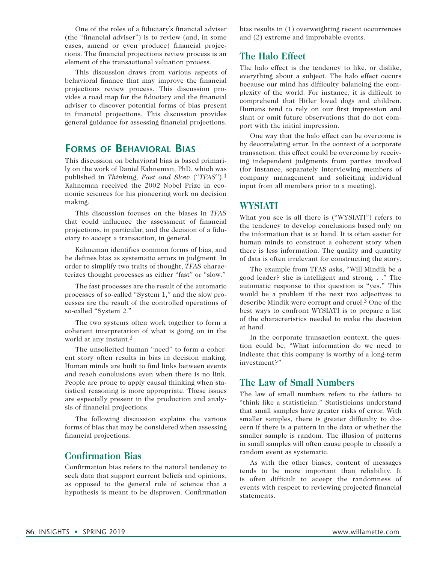One of the roles of a fiduciary's financial adviser (the "financial adviser") is to review (and, in some cases, amend or even produce) financial projections. The financial projections review process is an element of the transactional valuation process.

This discussion draws from various aspects of behavioral finance that may improve the financial projections review process. This discussion provides a road map for the fiduciary and the financial adviser to discover potential forms of bias present in financial projections. This discussion provides general guidance for assessing financial projections.

## **Forms of Behavioral Bias**

This discussion on behavioral bias is based primarily on the work of Daniel Kahneman, PhD, which was published in *Thinking, Fast and Slow* ("*TFAS*").1 Kahneman received the 2002 Nobel Prize in economic sciences for his pioneering work on decision making.

This discussion focuses on the biases in *TFAS* that could influence the assessment of financial projections, in particular, and the decision of a fiduciary to accept a transaction, in general.

Kahneman identifies common forms of bias, and he defines bias as systematic errors in judgment. In order to simplify two traits of thought, *TFAS* characterizes thought processes as either "fast" or "slow."

The fast processes are the result of the automatic processes of so-called "System 1," and the slow processes are the result of the controlled operations of so-called "System 2."

The two systems often work together to form a coherent interpretation of what is going on in the world at any instant.2

The unsolicited human "need" to form a coherent story often results in bias in decision making. Human minds are built to find links between events and reach conclusions even when there is no link. People are prone to apply causal thinking when statistical reasoning is more appropriate. These issues are especially present in the production and analysis of financial projections.

The following discussion explains the various forms of bias that may be considered when assessing financial projections.

## **Confirmation Bias**

Confirmation bias refers to the natural tendency to seek data that support current beliefs and opinions, as opposed to the general rule of science that a hypothesis is meant to be disproven. Confirmation

bias results in (1) overweighting recent occurrences and (2) extreme and improbable events.

## **The Halo Effect**

The halo effect is the tendency to like, or dislike, everything about a subject. The halo effect occurs because our mind has difficulty balancing the complexity of the world. For instance, it is difficult to comprehend that Hitler loved dogs and children. Humans tend to rely on our first impression and slant or omit future observations that do not comport with the initial impression.

One way that the halo effect can be overcome is by decorrelating error. In the context of a corporate transaction, this effect could be overcome by receiving independent judgments from parties involved (for instance, separately interviewing members of company management and soliciting individual input from all members prior to a meeting).

#### **WYSIATI**

What you see is all there is ("WYSIATI") refers to the tendency to develop conclusions based only on the information that is at hand. It is often easier for human minds to construct a coherent story when there is less information. The quality and quantity of data is often irrelevant for constructing the story.

The example from TFAS asks, "Will Mindik be a good leader? she is intelligent and strong. . ." The automatic response to this question is "yes." This would be a problem if the next two adjectives to describe Mindik were corrupt and cruel.3 One of the best ways to confront WYSIATI is to prepare a list of the characteristics needed to make the decision at hand.

In the corporate transaction context, the question could be, "What information do we need to indicate that this company is worthy of a long-term investment?"

## **The Law of Small Numbers**

The law of small numbers refers to the failure to "think like a statistician." Statisticians understand that small samples have greater risks of error. With smaller samples, there is greater difficulty to discern if there is a pattern in the data or whether the smaller sample is random. The illusion of patterns in small samples will often cause people to classify a random event as systematic.

As with the other biases, content of messages tends to be more important than reliability. It is often difficult to accept the randomness of events with respect to reviewing projected financial statements.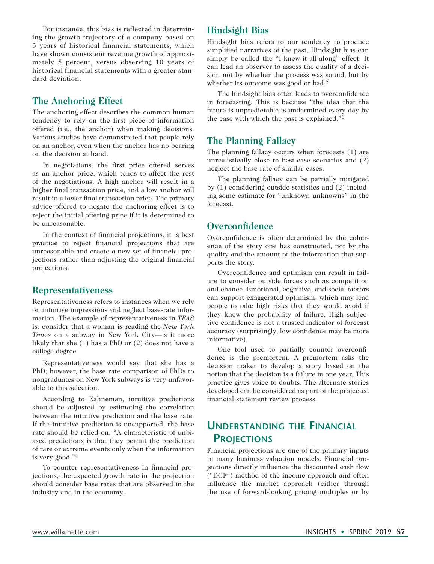For instance, this bias is reflected in determining the growth trajectory of a company based on 3 years of historical financial statements, which have shown consistent revenue growth of approximately 5 percent, versus observing 10 years of historical financial statements with a greater standard deviation.

## **The Anchoring Effect**

The anchoring effect describes the common human tendency to rely on the first piece of information offered (i.e., the anchor) when making decisions. Various studies have demonstrated that people rely on an anchor, even when the anchor has no bearing on the decision at hand.

In negotiations, the first price offered serves as an anchor price, which tends to affect the rest of the negotiations. A high anchor will result in a higher final transaction price, and a low anchor will result in a lower final transaction price. The primary advice offered to negate the anchoring effect is to reject the initial offering price if it is determined to be unreasonable.

In the context of financial projections, it is best practice to reject financial projections that are unreasonable and create a new set of financial projections rather than adjusting the original financial projections.

### **Representativeness**

Representativeness refers to instances when we rely on intuitive impressions and neglect base-rate information. The example of representativeness in *TFAS* is: consider that a woman is reading the *New York Times* on a subway in New York City—is it more likely that she (1) has a PhD or (2) does not have a college degree.

Representativeness would say that she has a PhD; however, the base rate comparison of PhDs to nongraduates on New York subways is very unfavorable to this selection.

According to Kahneman, intuitive predictions should be adjusted by estimating the correlation between the intuitive prediction and the base rate. If the intuitive prediction is unsupported, the base rate should be relied on. "A characteristic of unbiased predictions is that they permit the prediction of rare or extreme events only when the information is very good."4

To counter representativeness in financial projections, the expected growth rate in the projection should consider base rates that are observed in the industry and in the economy.

## **Hindsight Bias**

Hindsight bias refers to our tendency to produce simplified narratives of the past. Hindsight bias can simply be called the "I-knew-it-all-along" effect. It can lead an observer to assess the quality of a decision not by whether the process was sound, but by whether its outcome was good or bad.<sup>5</sup>

The hindsight bias often leads to overconfidence in forecasting. This is because "the idea that the future is unpredictable is undermined every day by the ease with which the past is explained."6

## **The Planning Fallacy**

The planning fallacy occurs when forecasts (1) are unrealistically close to best-case scenarios and (2) neglect the base rate of similar cases.

The planning fallacy can be partially mitigated by (1) considering outside statistics and (2) including some estimate for "unknown unknowns" in the forecast.

## **Overconfidence**

Overconfidence is often determined by the coherence of the story one has constructed, not by the quality and the amount of the information that supports the story.

Overconfidence and optimism can result in failure to consider outside forces such as competition and chance. Emotional, cognitive, and social factors can support exaggerated optimism, which may lead people to take high risks that they would avoid if they knew the probability of failure. High subjective confidence is not a trusted indicator of forecast accuracy (surprisingly, low confidence may be more informative).

One tool used to partially counter overconfidence is the premortem. A premortem asks the decision maker to develop a story based on the notion that the decision is a failure in one year. This practice gives voice to doubts. The alternate stories developed can be considered as part of the projected financial statement review process.

## **Understanding the Financial Projections**

Financial projections are one of the primary inputs in many business valuation models. Financial projections directly influence the discounted cash flow ("DCF") method of the income approach and often influence the market approach (either through the use of forward-looking pricing multiples or by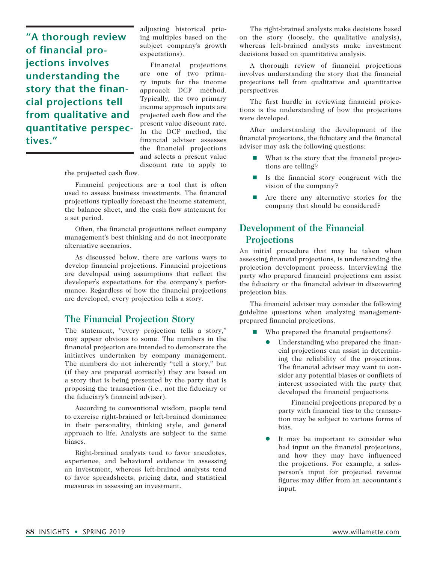**"A thorough review of financial projections involves understanding the story that the financial projections tell from qualitative and quantitative perspectives."**

adjusting historical pricing multiples based on the subject company's growth expectations).

Financial projections are one of two primary inputs for the income approach DCF method. Typically, the two primary income approach inputs are projected cash flow and the present value discount rate. In the DCF method, the financial adviser assesses the financial projections and selects a present value discount rate to apply to

the projected cash flow.

Financial projections are a tool that is often used to assess business investments. The financial projections typically forecast the income statement, the balance sheet, and the cash flow statement for a set period.

Often, the financial projections reflect company management's best thinking and do not incorporate alternative scenarios.

As discussed below, there are various ways to develop financial projections. Financial projections are developed using assumptions that reflect the developer's expectations for the company's performance. Regardless of how the financial projections are developed, every projection tells a story.

### **The Financial Projection Story**

The statement, "every projection tells a story," may appear obvious to some. The numbers in the financial projection are intended to demonstrate the initiatives undertaken by company management. The numbers do not inherently "tell a story," but (if they are prepared correctly) they are based on a story that is being presented by the party that is proposing the transaction (i.e., not the fiduciary or the fiduciary's financial adviser).

According to conventional wisdom, people tend to exercise right-brained or left-brained dominance in their personality, thinking style, and general approach to life. Analysts are subject to the same biases.

Right-brained analysts tend to favor anecdotes, experience, and behavioral evidence in assessing an investment, whereas left-brained analysts tend to favor spreadsheets, pricing data, and statistical measures in assessing an investment.

The right-brained analysts make decisions based on the story (loosely, the qualitative analysis), whereas left-brained analysts make investment decisions based on quantitative analysis.

A thorough review of financial projections involves understanding the story that the financial projections tell from qualitative and quantitative perspectives.

The first hurdle in reviewing financial projections is the understanding of how the projections were developed.

After understanding the development of the financial projections, the fiduciary and the financial adviser may ask the following questions:

- What is the story that the financial projections are telling?
- $\blacksquare$  Is the financial story congruent with the vision of the company?
- Are there any alternative stories for the company that should be considered?

## **Development of the Financial Projections**

An initial procedure that may be taken when assessing financial projections, is understanding the projection development process. Interviewing the party who prepared financial projections can assist the fiduciary or the financial adviser in discovering projection bias.

The financial adviser may consider the following guideline questions when analyzing managementprepared financial projections.

- Who prepared the financial projections?
	- l Understanding who prepared the financial projections can assist in determining the reliability of the projections. The financial adviser may want to consider any potential biases or conflicts of interest associated with the party that developed the financial projections.

 Financial projections prepared by a party with financial ties to the transaction may be subject to various forms of bias.

It may be important to consider who had input on the financial projections, and how they may have influenced the projections. For example, a salesperson's input for projected revenue figures may differ from an accountant's input.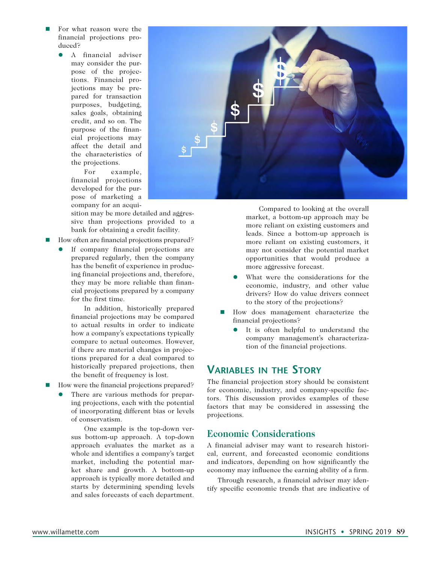- For what reason were the financial projections produced?
	- **•** A financial adviser may consider the purpose of the projections. Financial projections may be prepared for transaction purposes, budgeting, sales goals, obtaining credit, and so on. The purpose of the financial projections may affect the detail and the characteristics of the projections.

 For example, financial projections developed for the purpose of marketing a company for an acqui-

sition may be more detailed and aggressive than projections provided to a bank for obtaining a credit facility.

- How often are financial projections prepared?
	- If company financial projections are prepared regularly, then the company has the benefit of experience in producing financial projections and, therefore, they may be more reliable than financial projections prepared by a company for the first time.

 In addition, historically prepared financial projections may be compared to actual results in order to indicate how a company's expectations typically compare to actual outcomes. However, if there are material changes in projections prepared for a deal compared to historically prepared projections, then the benefit of frequency is lost.

- How were the financial projections prepared?
	- There are various methods for preparing projections, each with the potential of incorporating different bias or levels of conservatism.

 One example is the top-down versus bottom-up approach. A top-down approach evaluates the market as a whole and identifies a company's target market, including the potential market share and growth. A bottom-up approach is typically more detailed and starts by determining spending levels and sales forecasts of each department.



 Compared to looking at the overall market, a bottom-up approach may be more reliant on existing customers and leads. Since a bottom-up approach is more reliant on existing customers, it may not consider the potential market opportunities that would produce a more aggressive forecast.

- What were the considerations for the economic, industry, and other value drivers? How do value drivers connect to the story of the projections?
- How does management characterize the financial projections?
	- It is often helpful to understand the company management's characterization of the financial projections.

## **Variables in the Story**

The financial projection story should be consistent for economic, industry, and company-specific factors. This discussion provides examples of these factors that may be considered in assessing the projections.

### **Economic Considerations**

A financial adviser may want to research historical, current, and forecasted economic conditions and indicators, depending on how significantly the economy may influence the earning ability of a firm.

Through research, a financial adviser may identify specific economic trends that are indicative of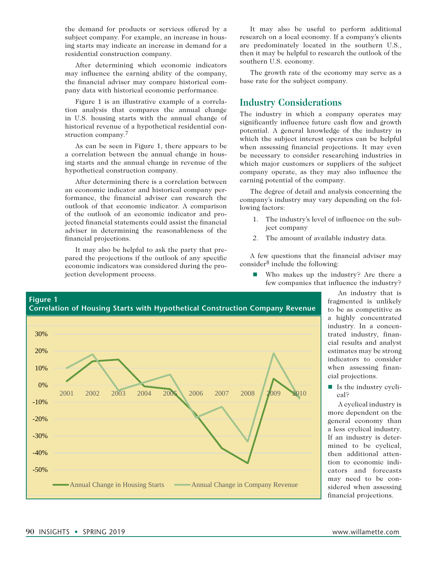the demand for products or services offered by a subject company. For example, an increase in housing starts may indicate an increase in demand for a residential construction company.

After determining which economic indicators may influence the earning ability of the company, the financial adviser may compare historical company data with historical economic performance.

Figure 1 is an illustrative example of a correlation analysis that compares the annual change in U.S. housing starts with the annual change of historical revenue of a hypothetical residential construction company.7

As can be seen in Figure 1, there appears to be a correlation between the annual change in housing starts and the annual change in revenue of the hypothetical construction company.

After determining there is a correlation between an economic indicator and historical company performance, the financial adviser can research the outlook of that economic indicator. A comparison of the outlook of an economic indicator and projected financial statements could assist the financial adviser in determining the reasonableness of the financial projections.

It may also be helpful to ask the party that prepared the projections if the outlook of any specific economic indicators was considered during the projection development process.

It may also be useful to perform additional research on a local economy. If a company's clients are predominately located in the southern U.S., then it may be helpful to research the outlook of the southern U.S. economy.

The growth rate of the economy may serve as a base rate for the subject company.

## **Industry Considerations**

The industry in which a company operates may significantly influence future cash flow and growth potential. A general knowledge of the industry in which the subject interest operates can be helpful when assessing financial projections. It may even be necessary to consider researching industries in which major customers or suppliers of the subject company operate, as they may also influence the earning potential of the company.

The degree of detail and analysis concerning the company's industry may vary depending on the following factors:

- 1. The industry's level of influence on the subject company
- 2. The amount of available industry data.

A few questions that the financial adviser may consider8 include the following:

■ Who makes up the industry? Are there a few companies that influence the industry?

> An industry that is fragmented is unlikely to be as competitive as a highly concentrated industry. In a concentrated industry, financial results and analyst estimates may be strong indicators to consider when assessing financial projections.

 $\blacksquare$  Is the industry cyclical?

A cyclical industry is more dependent on the general economy than a less cyclical industry. If an industry is determined to be cyclical, then additional attention to economic indicators and forecasts may need to be considered when assessing financial projections.

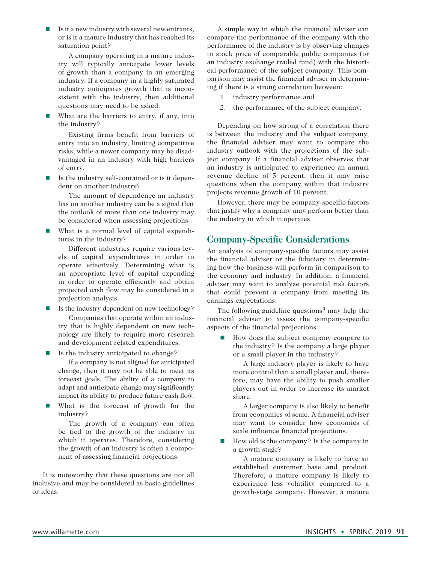$\blacksquare$  Is it a new industry with several new entrants, or is it a mature industry that has reached its saturation point?

A company operating in a mature industry will typically anticipate lower levels of growth than a company in an emerging industry. If a company in a highly saturated industry anticipates growth that is inconsistent with the industry, then additional questions may need to be asked.

 $\blacksquare$  What are the barriers to entry, if any, into the industry?

Existing firms benefit from barriers of entry into an industry, limiting competitive risks, while a newer company may be disadvantaged in an industry with high barriers of entry.

Is the industry self-contained or is it dependent on another industry?

The amount of dependence an industry has on another industry can be a signal that the outlook of more than one industry may be considered when assessing projections.

What is a normal level of capital expenditures in the industry?

Different industries require various levels of capital expenditures in order to operate effectively. Determining what is an appropriate level of capital expending in order to operate efficiently and obtain projected cash flow may be considered in a projection analysis.

- Is the industry dependent on new technology? Companies that operate within an industry that is highly dependent on new technology are likely to require more research and development related expenditures.
- $\blacksquare$  Is the industry anticipated to change? If a company is not aligned for anticipated change, then it may not be able to meet its forecast goals. The ability of a company to adapt and anticipate change may significantly impact its ability to produce future cash flow.
- What is the forecast of growth for the industry?

The growth of a company can often be tied to the growth of the industry in which it operates. Therefore, considering the growth of an industry is often a component of assessing financial projections.

It is noteworthy that these questions are not all inclusive and may be considered as basic guidelines or ideas.

A simple way in which the financial adviser can compare the performance of the company with the performance of the industry is by observing changes in stock price of comparable public companies (or an industry exchange traded fund) with the historical performance of the subject company. This comparison may assist the financial adviser in determining if there is a strong correlation between:

- 1. industry performance and
- 2. the performance of the subject company.

Depending on how strong of a correlation there is between the industry and the subject company, the financial adviser may want to compare the industry outlook with the projections of the subject company. If a financial adviser observes that an industry is anticipated to experience an annual revenue decline of 5 percent, then it may raise questions when the company within that industry projects revenue growth of 10 percent.

However, there may be company-specific factors that justify why a company may perform better than the industry in which it operates.

## **Company-Specific Considerations**

An analysis of company-specific factors may assist the financial adviser or the fiduciary in determining how the business will perform in comparison to the economy and industry. In addition, a financial adviser may want to analyze potential risk factors that could prevent a company from meeting its earnings expectations.

The following guideline questions<sup>9</sup> may help the financial adviser to assess the company-specific aspects of the financial projections:

 $\blacksquare$  How does the subject company compare to the industry? Is the company a large player or a small player in the industry?

A large industry player is likely to have more control than a small player and, therefore, may have the ability to push smaller players out in order to increase its market share.

A larger company is also likely to benefit from economies of scale. A financial adviser may want to consider how economies of scale influence financial projections.

 $\blacksquare$  How old is the company? Is the company in a growth stage?

A mature company is likely to have an established customer base and product. Therefore, a mature company is likely to experience less volatility compared to a growth-stage company. However, a mature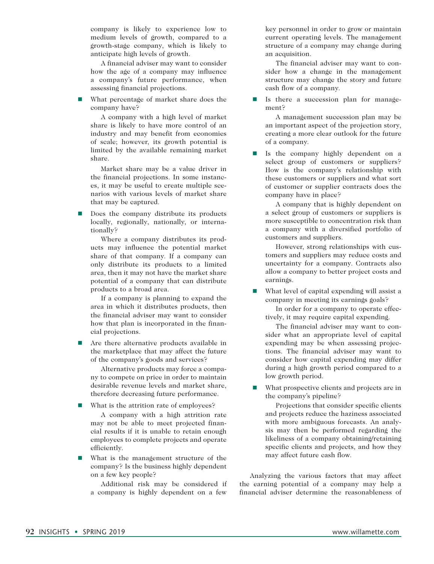company is likely to experience low to medium levels of growth, compared to a growth-stage company, which is likely to anticipate high levels of growth.

A financial adviser may want to consider how the age of a company may influence a company's future performance, when assessing financial projections.

 $\blacksquare$  What percentage of market share does the company have?

A company with a high level of market share is likely to have more control of an industry and may benefit from economies of scale; however, its growth potential is limited by the available remaining market share.

Market share may be a value driver in the financial projections. In some instances, it may be useful to create multiple scenarios with various levels of market share that may be captured.

 $\Box$  Does the company distribute its products locally, regionally, nationally, or internationally?

Where a company distributes its products may influence the potential market share of that company. If a company can only distribute its products to a limited area, then it may not have the market share potential of a company that can distribute products to a broad area.

If a company is planning to expand the area in which it distributes products, then the financial adviser may want to consider how that plan is incorporated in the financial projections.

 $\blacksquare$  Are there alternative products available in the marketplace that may affect the future of the company's goods and services?

Alternative products may force a company to compete on price in order to maintain desirable revenue levels and market share, therefore decreasing future performance.

 $\blacksquare$  What is the attrition rate of employees?

A company with a high attrition rate may not be able to meet projected financial results if it is unable to retain enough employees to complete projects and operate efficiently.

 $\blacksquare$  What is the management structure of the company? Is the business highly dependent on a few key people?

Additional risk may be considered if a company is highly dependent on a few

key personnel in order to grow or maintain current operating levels. The management structure of a company may change during an acquisition.

The financial adviser may want to consider how a change in the management structure may change the story and future cash flow of a company.

 $\blacksquare$  Is there a succession plan for management?

A management succession plan may be an important aspect of the projection story, creating a more clear outlook for the future of a company.

**n** Is the company highly dependent on a select group of customers or suppliers? How is the company's relationship with these customers or suppliers and what sort of customer or supplier contracts does the company have in place?

A company that is highly dependent on a select group of customers or suppliers is more susceptible to concentration risk than a company with a diversified portfolio of customers and suppliers.

However, strong relationships with customers and suppliers may reduce costs and uncertainty for a company. Contracts also allow a company to better project costs and earnings.

What level of capital expending will assist a company in meeting its earnings goals?

In order for a company to operate effectively, it may require capital expending.

The financial adviser may want to consider what an appropriate level of capital expending may be when assessing projections. The financial adviser may want to consider how capital expending may differ during a high growth period compared to a low growth period.

 $\blacksquare$  What prospective clients and projects are in the company's pipeline?

Projections that consider specific clients and projects reduce the haziness associated with more ambiguous forecasts. An analysis may then be performed regarding the likeliness of a company obtaining/retaining specific clients and projects, and how they may affect future cash flow.

Analyzing the various factors that may affect the earning potential of a company may help a financial adviser determine the reasonableness of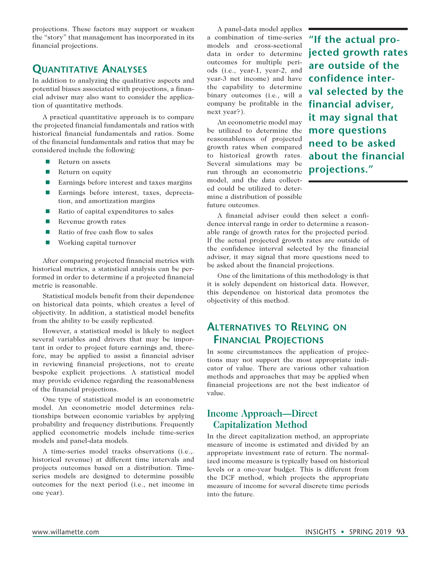projections. These factors may support or weaken the "story" that management has incorporated in its financial projections.

## **Quantitative Analyses**

In addition to analyzing the qualitative aspects and potential biases associated with projections, a financial adviser may also want to consider the application of quantitative methods.

A practical quantitative approach is to compare the projected financial fundamentals and ratios with historical financial fundamentals and ratios. Some of the financial fundamentals and ratios that may be considered include the following:

- Return on assets
- **n** Return on equity
- Earnings before interest and taxes margins
- Earnings before interest, taxes, depreciation, and amortization margins
- Ratio of capital expenditures to sales
- $\blacksquare$  Revenue growth rates
- Ratio of free cash flow to sales
- Working capital turnover

After comparing projected financial metrics with historical metrics, a statistical analysis can be performed in order to determine if a projected financial metric is reasonable.

Statistical models benefit from their dependence on historical data points, which creates a level of objectivity. In addition, a statistical model benefits from the ability to be easily replicated.

However, a statistical model is likely to neglect several variables and drivers that may be important in order to project future earnings and, therefore, may be applied to assist a financial adviser in reviewing financial projections, not to create bespoke explicit projections. A statistical model may provide evidence regarding the reasonableness of the financial projections.

One type of statistical model is an econometric model. An econometric model determines relationships between economic variables by applying probability and frequency distributions. Frequently applied econometric models include time-series models and panel-data models.

A time-series model tracks observations (i.e.,. historical revenue) at different time intervals and projects outcomes based on a distribution. Timeseries models are designed to determine possible outcomes for the next period (i.e., net income in one year).

A panel-data model applies a combination of time-series models and cross-sectional data in order to determine outcomes for multiple periods (i.e., year-1, year-2, and year-3 net income) and have the capability to determine binary outcomes (i.e., will a company be profitable in the next year?).

An econometric model may be utilized to determine the reasonableness of projected growth rates when compared to historical growth rates. Several simulations may be run through an econometric model, and the data collected could be utilized to determine a distribution of possible future outcomes.

**"If the actual projected growth rates are outside of the confidence interval selected by the financial adviser, it may signal that more questions need to be asked about the financial projections."**

A financial adviser could then select a confidence interval range in order to determine a reasonable range of growth rates for the projected period. If the actual projected growth rates are outside of the confidence interval selected by the financial adviser, it may signal that more questions need to be asked about the financial projections.

One of the limitations of this methodology is that it is solely dependent on historical data. However, this dependence on historical data promotes the objectivity of this method.

## **Alternatives to Relying on Financial Projections**

In some circumstances the application of projections may not support the most appropriate indicator of value. There are various other valuation methods and approaches that may be applied when financial projections are not the best indicator of value.

## **Income Approach—Direct Capitalization Method**

In the direct capitalization method, an appropriate measure of income is estimated and divided by an appropriate investment rate of return. The normalized income measure is typically based on historical levels or a one-year budget. This is different from the DCF method, which projects the appropriate measure of income for several discrete time periods into the future.